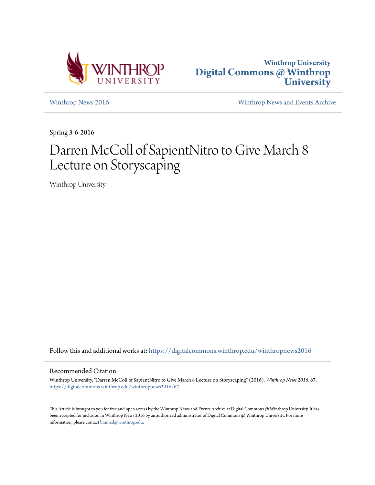



[Winthrop News 2016](https://digitalcommons.winthrop.edu/winthropnews2016?utm_source=digitalcommons.winthrop.edu%2Fwinthropnews2016%2F67&utm_medium=PDF&utm_campaign=PDFCoverPages) [Winthrop News and Events Archive](https://digitalcommons.winthrop.edu/winthropnewsarchives?utm_source=digitalcommons.winthrop.edu%2Fwinthropnews2016%2F67&utm_medium=PDF&utm_campaign=PDFCoverPages)

Spring 3-6-2016

# Darren McColl of SapientNitro to Give March 8 Lecture on Storyscaping

Winthrop University

Follow this and additional works at: [https://digitalcommons.winthrop.edu/winthropnews2016](https://digitalcommons.winthrop.edu/winthropnews2016?utm_source=digitalcommons.winthrop.edu%2Fwinthropnews2016%2F67&utm_medium=PDF&utm_campaign=PDFCoverPages)

### Recommended Citation

Winthrop University, "Darren McColl of SapientNitro to Give March 8 Lecture on Storyscaping" (2016). *Winthrop News 2016*. 67. [https://digitalcommons.winthrop.edu/winthropnews2016/67](https://digitalcommons.winthrop.edu/winthropnews2016/67?utm_source=digitalcommons.winthrop.edu%2Fwinthropnews2016%2F67&utm_medium=PDF&utm_campaign=PDFCoverPages)

This Article is brought to you for free and open access by the Winthrop News and Events Archive at Digital Commons @ Winthrop University. It has been accepted for inclusion in Winthrop News 2016 by an authorized administrator of Digital Commons @ Winthrop University. For more information, please contact [bramed@winthrop.edu](mailto:bramed@winthrop.edu).